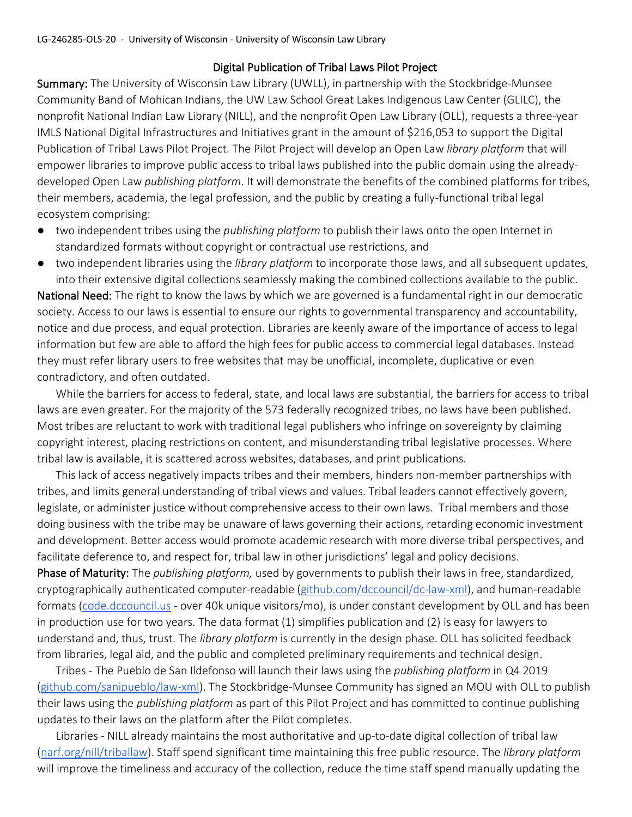## Digital Publication of Tribal Laws Pilot Project

Summary: The University of Wisconsin Law Library (UWLL), in partnership with the Stockbridge-Munsee Community Band of Mohican Indians, the UW Law School Great Lakes Indigenous Law Center (GLILC), the nonprofit National Indian Law Library (NILL), and the nonprofit Open Law Library (OLL), requests a three-year IMLS National Digital Infrastructures and Initiatives grant in the amount of \$216,053 to support the Digital Publication of Tribal Laws Pilot Project. The Pilot Project will develop an Open Law *library platform* that will empower libraries to improve public access to tribal laws published into the public domain using the alreadydeveloped Open Law *publishing platform*. It will demonstrate the benefits of the combined platforms for tribes, their members, academia, the legal profession, and the public by creating a fully-functional tribal legal ecosystem comprising:

- two independent tribes using the *publishing platform* to publish their laws onto the open Internet in standardized formats without copyright or contractual use restrictions, and
- two independent libraries using the *library platform* to incorporate those laws, and all subsequent updates, into their extensive digital collections seamlessly making the combined collections available to the public.

National Need: The right to know the laws by which we are governed is a fundamental right in our democratic society. Access to our laws is essential to ensure our rights to governmental transparency and accountability, notice and due process, and equal protection. Libraries are keenly aware of the importance of access to legal information but few are able to afford the high fees for public access to commercial legal databases. Instead they must refer library users to free websites that may be unofficial, incomplete, duplicative or even contradictory, and often outdated.

While the barriers for access to federal, state, and local laws are substantial, the barriers for access to tribal laws are even greater. For the majority of the 573 federally recognized tribes, no laws have been published. Most tribes are reluctant to work with traditional legal publishers who infringe on sovereignty by claiming copyright interest, placing restrictions on content, and misunderstanding tribal legislative processes. Where tribal law is available, it is scattered across websites, databases, and print publications.

This lack of access negatively impacts tribes and their members, hinders non-member partnerships with tribes, and limits general understanding of tribal views and values. Tribal leaders cannot effectively govern, legislate, or administer justice without comprehensive access to their own laws. Tribal members and those doing business with the tribe may be unaware of laws governing their actions, retarding economic investment and development. Better access would promote academic research with more diverse tribal perspectives, and facilitate deference to, and respect for, tribal law in other jurisdictions' legal and policy decisions.

Phase of Maturity: The *publishing platform,* used by governments to publish their laws in free, standardized, cryptographically authenticated computer-readable (github.com/dccouncil/dc-law-xml), and human-readable formats (code.dccouncil.us - over 40k unique visitors/mo), is under constant development by OLL and has been in production use for two years. The data format (1) simplifies publication and (2) is easy for lawyers to understand and, thus, trust. The *library platform* is currently in the design phase. OLL has solicited feedback from libraries, legal aid, and the public and completed preliminary requirements and technical design.

Tribes - The Pueblo de San Ildefonso will launch their laws using the *publishing platform* in Q4 2019 (github.com/sanipueblo/law-xml). The Stockbridge-Munsee Community has signed an MOU with OLL to publish their laws using the *publishing platform* as part of this Pilot Project and has committed to continue publishing updates to their laws on the platform after the Pilot completes.

Libraries - NILL already maintains the most authoritative and up-to-date digital collection of tribal law (narf.org/nill/triballaw). Staff spend significant time maintaining this free public resource. The *library platform* will improve the timeliness and accuracy of the collection, reduce the time staff spend manually updating the